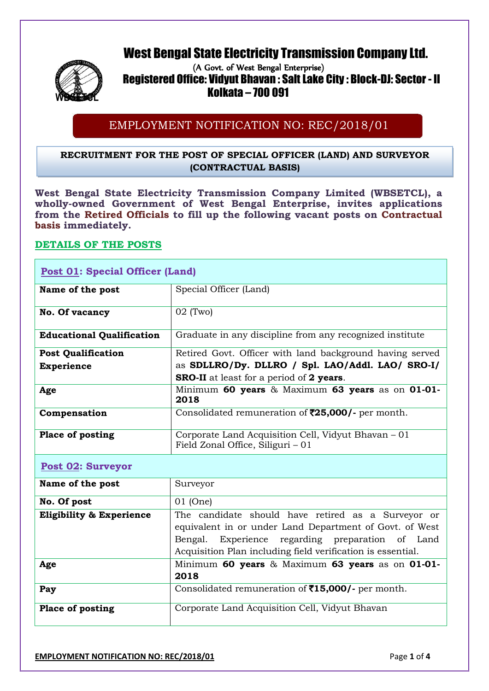# West Bengal State Electricity Transmission Company Ltd.



# (A Govt. of West Bengal Enterprise) Registered Office: Vidyut Bhavan : Salt Lake City : Block-DJ: Sector - II **WBSETCL** Kolkata – 700 091

# EMPLOYMENT NOTIFICATION NO: REC/2018/01

# **RECRUITMENT FOR THE POST OF SPECIAL OFFICER (LAND) AND SURVEYOR (CONTRACTUAL BASIS)**

**West Bengal State Electricity Transmission Company Limited (WBSETCL), a wholly-owned Government of West Bengal Enterprise, invites applications from the Retired Officials to fill up the following vacant posts on Contractual basis immediately.**

# **DETAILS OF THE POSTS**

| <b>Post 01: Special Officer (Land)</b> |                                                                                          |  |
|----------------------------------------|------------------------------------------------------------------------------------------|--|
| Name of the post                       | Special Officer (Land)                                                                   |  |
| No. Of vacancy                         | $02$ (Two)                                                                               |  |
| <b>Educational Qualification</b>       | Graduate in any discipline from any recognized institute                                 |  |
| <b>Post Qualification</b>              | Retired Govt. Officer with land background having served                                 |  |
| <b>Experience</b>                      | as SDLLRO/Dy. DLLRO / Spl. LAO/Addl. LAO/ SRO-I/                                         |  |
|                                        | <b>SRO-II</b> at least for a period of 2 years.                                          |  |
| Age                                    | Minimum 60 years & Maximum 63 years as on 01-01-<br>2018                                 |  |
| Compensation                           | Consolidated remuneration of $\overline{525,000}$ - per month.                           |  |
| <b>Place of posting</b>                | Corporate Land Acquisition Cell, Vidyut Bhavan – 01<br>Field Zonal Office, Siliguri – 01 |  |

# **Post 02: Surveyor**

| Name of the post                    | Surveyor                                                                                                                                                                                                                         |
|-------------------------------------|----------------------------------------------------------------------------------------------------------------------------------------------------------------------------------------------------------------------------------|
| No. Of post                         | 01 (One)                                                                                                                                                                                                                         |
| <b>Eligibility &amp; Experience</b> | The candidate should have retired as a Surveyor or<br>equivalent in or under Land Department of Govt. of West<br>Bengal. Experience regarding preparation of Land<br>Acquisition Plan including field verification is essential. |
| Age                                 | Minimum 60 years & Maximum 63 years as on 01-01-<br>2018                                                                                                                                                                         |
| Pay                                 | Consolidated remuneration of $\bar{515,000}$ - per month.                                                                                                                                                                        |
| <b>Place of posting</b>             | Corporate Land Acquisition Cell, Vidyut Bhavan                                                                                                                                                                                   |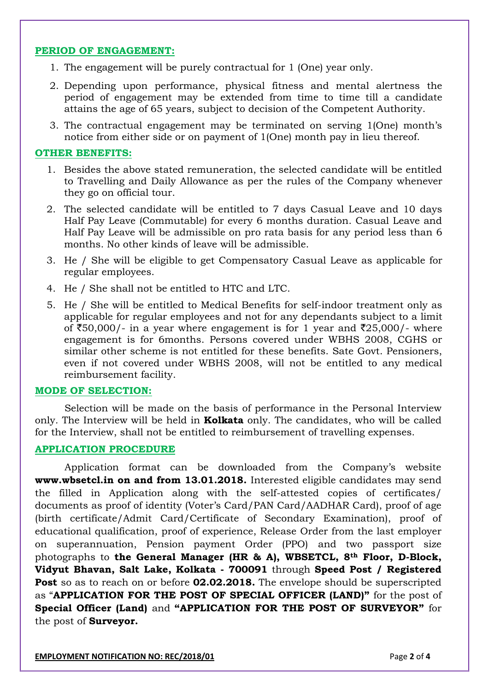#### **PERIOD OF ENGAGEMENT:**

- 1. The engagement will be purely contractual for 1 (One) year only.
- 2. Depending upon performance, physical fitness and mental alertness the period of engagement may be extended from time to time till a candidate attains the age of 65 years, subject to decision of the Competent Authority.
- 3. The contractual engagement may be terminated on serving 1(One) month's notice from either side or on payment of 1(One) month pay in lieu thereof.

#### **OTHER BENEFITS:**

- 1. Besides the above stated remuneration, the selected candidate will be entitled to Travelling and Daily Allowance as per the rules of the Company whenever they go on official tour.
- 2. The selected candidate will be entitled to 7 days Casual Leave and 10 days Half Pay Leave (Commutable) for every 6 months duration. Casual Leave and Half Pay Leave will be admissible on pro rata basis for any period less than 6 months. No other kinds of leave will be admissible.
- 3. He / She will be eligible to get Compensatory Casual Leave as applicable for regular employees.
- 4. He / She shall not be entitled to HTC and LTC.
- 5. He / She will be entitled to Medical Benefits for self-indoor treatment only as applicable for regular employees and not for any dependants subject to a limit of  $\text{\textsterling}50,000$ /- in a year where engagement is for 1 year and  $\text{\textsterling}25,000$ /- where engagement is for 6months. Persons covered under WBHS 2008, CGHS or similar other scheme is not entitled for these benefits. Sate Govt. Pensioners, even if not covered under WBHS 2008, will not be entitled to any medical reimbursement facility.

#### **MODE OF SELECTION:**

Selection will be made on the basis of performance in the Personal Interview only*.* The Interview will be held in **Kolkata** only. The candidates, who will be called for the Interview, shall not be entitled to reimbursement of travelling expenses.

#### **APPLICATION PROCEDURE**

Application format can be downloaded from the Company's website **www.wbsetcl.in on and from 13.01.2018.** Interested eligible candidates may send the filled in Application along with the self-attested copies of certificates/ documents as proof of identity (Voter's Card/PAN Card/AADHAR Card), proof of age (birth certificate/Admit Card/Certificate of Secondary Examination), proof of educational qualification, proof of experience, Release Order from the last employer on superannuation, Pension payment Order (PPO) and two passport size photographs to **the General Manager (HR & A), WBSETCL, 8th Floor, D-Block, Vidyut Bhavan, Salt Lake, Kolkata - 700091** through **Speed Post / Registered Post** so as to reach on or before **02.02.2018.** The envelope should be superscripted as "**APPLICATION FOR THE POST OF SPECIAL OFFICER (LAND)"** for the post of **Special Officer (Land)** and **"APPLICATION FOR THE POST OF SURVEYOR"** for the post of **Surveyor.**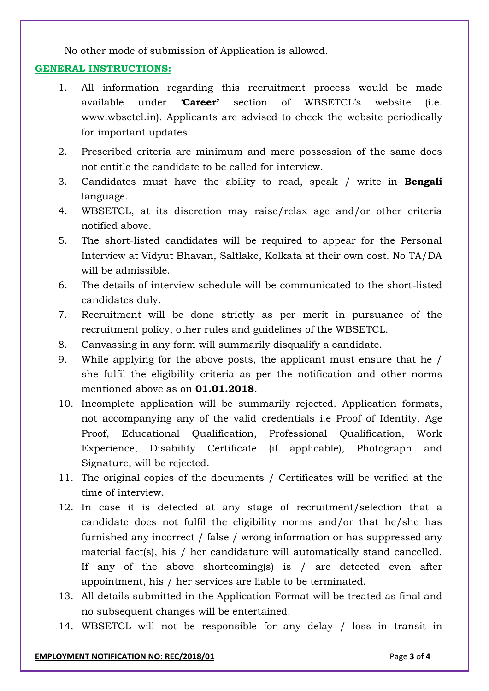No other mode of submission of Application is allowed.

### **GENERAL INSTRUCTIONS:**

- 1. All information regarding this recruitment process would be made available under '**Career'** section of WBSETCL's website (i.e. www.wbsetcl.in). Applicants are advised to check the website periodically for important updates.
- 2. Prescribed criteria are minimum and mere possession of the same does not entitle the candidate to be called for interview.
- 3. Candidates must have the ability to read, speak / write in **Bengali** language.
- 4. WBSETCL, at its discretion may raise/relax age and/or other criteria notified above.
- 5. The short-listed candidates will be required to appear for the Personal Interview at Vidyut Bhavan, Saltlake, Kolkata at their own cost. No TA/DA will be admissible.
- 6. The details of interview schedule will be communicated to the short-listed candidates duly.
- 7. Recruitment will be done strictly as per merit in pursuance of the recruitment policy, other rules and guidelines of the WBSETCL.
- 8. Canvassing in any form will summarily disqualify a candidate.
- 9. While applying for the above posts, the applicant must ensure that he / she fulfil the eligibility criteria as per the notification and other norms mentioned above as on **01.01.2018**.
- 10. Incomplete application will be summarily rejected. Application formats, not accompanying any of the valid credentials i.e Proof of Identity, Age Proof, Educational Qualification, Professional Qualification, Work Experience, Disability Certificate (if applicable), Photograph and Signature, will be rejected.
- 11. The original copies of the documents / Certificates will be verified at the time of interview.
- 12. In case it is detected at any stage of recruitment/selection that a candidate does not fulfil the eligibility norms and/or that he/she has furnished any incorrect / false / wrong information or has suppressed any material fact(s), his / her candidature will automatically stand cancelled. If any of the above shortcoming(s) is / are detected even after appointment, his / her services are liable to be terminated.
- 13. All details submitted in the Application Format will be treated as final and no subsequent changes will be entertained.
- 14. WBSETCL will not be responsible for any delay / loss in transit in